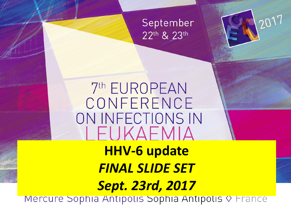

2017

## 7th EUROPEAN CONFERENCE ON INFECTIONS IN I FUKAFMIA **HHV-6 update**  *FINAL SLIDE SET*

# *Sept. 23rd, 2017*

Mercure Sophia Antipolis Sophia Antipolis V France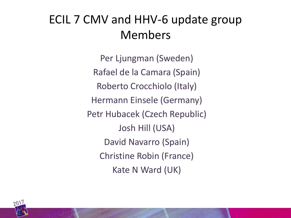#### ECIL 7 CMV and HHV-6 update group Members

Per Ljungman (Sweden) Rafael de la Camara (Spain) Roberto Crocchiolo (Italy) Hermann Einsele (Germany) Petr Hubacek (Czech Republic) Josh Hill (USA) David Navarro (Spain) Christine Robin (France) Kate N Ward (UK)

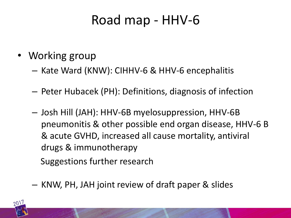#### Road map - HHV-6

- Working group
	- Kate Ward (KNW): CIHHV-6 & HHV-6 encephalitis
	- Peter Hubacek (PH): Definitions, diagnosis of infection
	- Josh Hill (JAH): HHV-6B myelosuppression, HHV-6B pneumonitis & other possible end organ disease, HHV-6 B & acute GVHD, increased all cause mortality, antiviral drugs & immunotherapy

Suggestions further research

– KNW, PH, JAH joint review of draft paper & slides

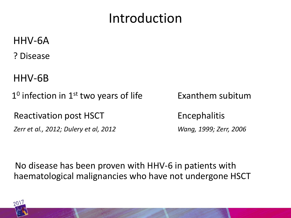#### Introduction

- HHV-6A
- ? Disease
- HHV-6B
- 1<sup>0</sup> infection in 1<sup>st</sup> two years of life **Exanthem subitum** 
	- Reactivation post HSCT Encephalitis
	- *Zerr et al., 2012; Dulery et al, 2012 Wang, 1999; Zerr, 2006*
- 
- 

 No disease has been proven with HHV-6 in patients with haematological malignancies who have not undergone HSCT

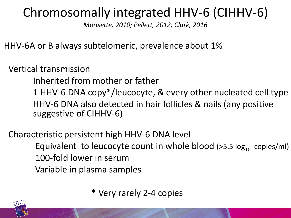#### Chromosomally integrated HHV-6 (CIHHV-6)

*Morisette, 2010; Pellett, 2012; Clark, 2016*

HHV-6A or B always subtelomeric, prevalence about 1%

Vertical transmission

Inherited from mother or father

1 HHV-6 DNA copy\*/leucocyte, & every other nucleated cell type HHV-6 DNA also detected in hair follicles & nails (any positive suggestive of CIHHV-6)

 Characteristic persistent high HHV-6 DNA level Equivalent to leucocyte count in whole blood ( $>5.5 \log_{10}$  copies/ml) 100-fold lower in serum Variable in plasma samples

\* Very rarely 2-4 copies

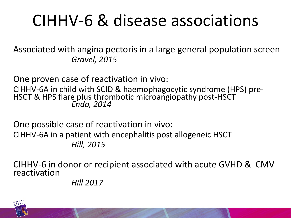## CIHHV-6 & disease associations

Associated with angina pectoris in a large general population screen *Gravel, 2015*

One proven case of reactivation in vivo:

CIHHV-6A in child with SCID & haemophagocytic syndrome (HPS) pre-HSCT & HPS flare plus thrombotic microangiopathy post-HSCT *Endo, 2014*

One possible case of reactivation in vivo: CIHHV-6A in a patient with encephalitis post allogeneic HSCT *Hill, 2015*

CIHHV-6 in donor or recipient associated with acute GVHD & CMV reactivation

 *Hill 2017*

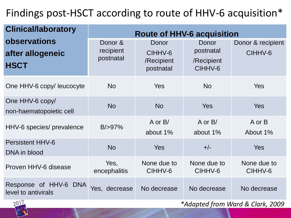#### Findings post-HSCT according to route of HHV-6 acquisition\*

| <b>Clinical/laboratory</b>                             | <b>Route of HHV-6 acquisition</b> |                                             |                                             |                              |
|--------------------------------------------------------|-----------------------------------|---------------------------------------------|---------------------------------------------|------------------------------|
| <b>observations</b><br>after allogeneic<br><b>HSCT</b> | Donor &<br>recipient<br>postnatal | Donor<br>CIHHV-6<br>/Recipient<br>postnatal | Donor<br>postnatal<br>/Recipient<br>CIHHV-6 | Donor & recipient<br>CIHHV-6 |
| One HHV-6 copy/ leucocyte                              | <b>No</b>                         | Yes                                         | <b>No</b>                                   | <b>Yes</b>                   |
| One HHV-6 copy/<br>non-haematopoietic cell             | <b>No</b>                         | <b>No</b>                                   | <b>Yes</b>                                  | <b>Yes</b>                   |
| HHV-6 species/ prevalence                              | B/ > 97%                          | $A$ or $B/$<br>about 1%                     | $A$ or $B/$<br>about 1%                     | A or B<br>About 1%           |
| <b>Persistent HHV-6</b><br>DNA in blood                | <b>No</b>                         | <b>Yes</b>                                  | $+/-$                                       | <b>Yes</b>                   |
| Proven HHV-6 disease                                   | Yes,<br>encephalitis              | None due to<br>CIHHV-6                      | None due to<br>CIHHV-6                      | None due to<br>CIHHV-6       |
| Response of HHV-6 DNA<br>level to antivirals<br>0.01   | Yes, decrease                     | No decrease                                 | No decrease                                 | No decrease                  |



*\*Adapted from Ward & Clark, 2009*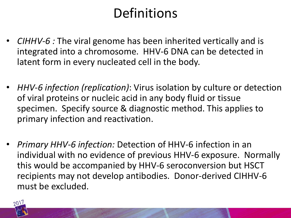### **Definitions**

- *CIHHV-6 :* The viral genome has been inherited vertically and is integrated into a chromosome. HHV-6 DNA can be detected in latent form in every nucleated cell in the body.
- *HHV-6 infection (replication)*: Virus isolation by culture or detection of viral proteins or nucleic acid in any body fluid or tissue specimen. Specify source & diagnostic method. This applies to primary infection and reactivation.
- *Primary HHV-6 infection:* Detection of HHV-6 infection in an individual with no evidence of previous HHV-6 exposure. Normally this would be accompanied by HHV-6 seroconversion but HSCT recipients may not develop antibodies. Donor-derived CIHHV-6 must be excluded.

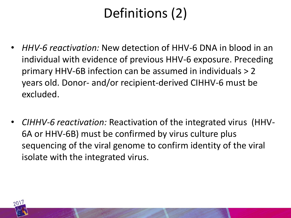## Definitions (2)

- *HHV-6 reactivation:* New detection of HHV-6 DNA in blood in an individual with evidence of previous HHV-6 exposure. Preceding primary HHV-6B infection can be assumed in individuals > 2 years old. Donor- and/or recipient-derived CIHHV-6 must be excluded.
- *CIHHV-6 reactivation:* Reactivation of the integrated virus (HHV-6A or HHV-6B) must be confirmed by virus culture plus sequencing of the viral genome to confirm identity of the viral isolate with the integrated virus.

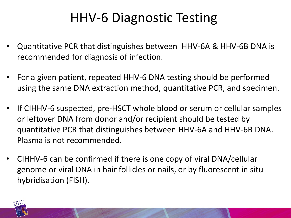## HHV-6 Diagnostic Testing

- Quantitative PCR that distinguishes between HHV-6A & HHV-6B DNA is recommended for diagnosis of infection.
- For a given patient, repeated HHV-6 DNA testing should be performed using the same DNA extraction method, quantitative PCR, and specimen.
- If CIHHV-6 suspected, pre-HSCT whole blood or serum or cellular samples or leftover DNA from donor and/or recipient should be tested by quantitative PCR that distinguishes between HHV-6A and HHV-6B DNA. Plasma is not recommended.
- CIHHV-6 can be confirmed if there is one copy of viral DNA/cellular genome or viral DNA in hair follicles or nails, or by fluorescent in situ hybridisation (FISH).

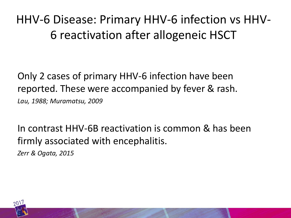HHV-6 Disease: Primary HHV-6 infection vs HHV-6 reactivation after allogeneic HSCT

Only 2 cases of primary HHV-6 infection have been reported. These were accompanied by fever & rash. *Lau, 1988; Muramatsu, 2009*

In contrast HHV-6B reactivation is common & has been firmly associated with encephalitis.

*Zerr & Ogata, 2015*

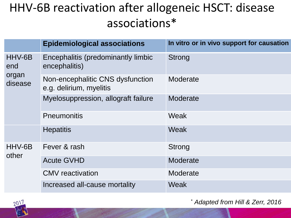#### HHV-6B reactivation after allogeneic HSCT: disease associations\*

|                                   | <b>Epidemiological associations</b>                         | In vitro or in vivo support for causation |
|-----------------------------------|-------------------------------------------------------------|-------------------------------------------|
| HHV-6B<br>end<br>organ<br>disease | Encephalitis (predominantly limbic<br>encephalitis)         | <b>Strong</b>                             |
|                                   | Non-encephalitic CNS dysfunction<br>e.g. delirium, myelitis | Moderate                                  |
|                                   | Myelosuppression, allograft failure                         | Moderate                                  |
|                                   | <b>Pneumonitis</b>                                          | Weak                                      |
|                                   | <b>Hepatitis</b>                                            | Weak                                      |
| HHV-6B<br>other                   | Fever & rash                                                | <b>Strong</b>                             |
|                                   | <b>Acute GVHD</b>                                           | Moderate                                  |
|                                   | <b>CMV</b> reactivation                                     | Moderate                                  |
|                                   | Increased all-cause mortality                               | Weak                                      |



\* *Adapted from Hill & Zerr, 2016*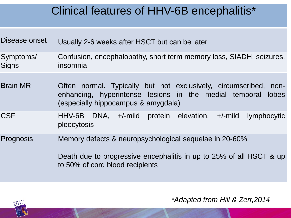#### Clinical features of HHV-6B encephalitis\*

| Disease onset             | Usually 2-6 weeks after HSCT but can be later                                                                                                                           |  |  |
|---------------------------|-------------------------------------------------------------------------------------------------------------------------------------------------------------------------|--|--|
| Symptoms/<br><b>Signs</b> | Confusion, encephalopathy, short term memory loss, SIADH, seizures,<br>insomnia                                                                                         |  |  |
| <b>Brain MRI</b>          | Often normal. Typically but not exclusively, circumscribed, non-<br>enhancing, hyperintense lesions in the medial temporal lobes<br>(especially hippocampus & amygdala) |  |  |
| <b>CSF</b>                | $HHV-6B$ DNA, $+/-$ mild protein elevation, $+/-$ mild<br><i>lymphocytic</i><br>pleocytosis                                                                             |  |  |
| Prognosis                 | Memory defects & neuropsychological sequelae in 20-60%<br>Death due to progressive encephalitis in up to 25% of all HSCT & up<br>to 50% of cord blood recipients        |  |  |



*\*Adapted from Hill & Zerr,2014*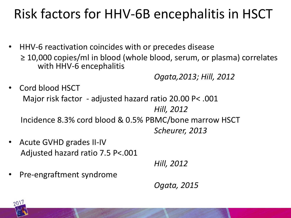## Risk factors for HHV-6B encephalitis in HSCT

• HHV-6 reactivation coincides with or precedes disease ≥ 10,000 copies/ml in blood (whole blood, serum, or plasma) correlates with HHV-6 encephalitis

*Ogata,2013; Hill, 2012*

- Cord blood HSCT Major risk factor - adjusted hazard ratio 20.00 P< .001 *Hill, 2012* Incidence 8.3% cord blood & 0.5% PBMC/bone marrow HSCT *Scheurer, 2013*
- Acute GVHD grades II-IV Adjusted hazard ratio 7.5 P<.001

*Hill, 2012*

• Pre-engraftment syndrome

*Ogata, 2015*

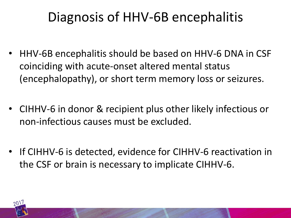## Diagnosis of HHV-6B encephalitis

- HHV-6B encephalitis should be based on HHV-6 DNA in CSF coinciding with acute-onset altered mental status (encephalopathy), or short term memory loss or seizures.
- CIHHV-6 in donor & recipient plus other likely infectious or non-infectious causes must be excluded.
- If CIHHV-6 is detected, evidence for CIHHV-6 reactivation in the CSF or brain is necessary to implicate CIHHV-6.

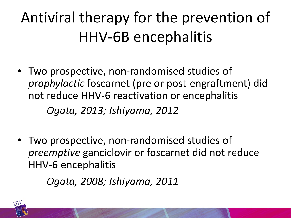## Antiviral therapy for the prevention of HHV-6B encephalitis

• Two prospective, non-randomised studies of *prophylactic* foscarnet (pre or post-engraftment) did not reduce HHV-6 reactivation or encephalitis

*Ogata, 2013; Ishiyama, 2012*

• Two prospective, non-randomised studies of *preemptive* ganciclovir or foscarnet did not reduce HHV-6 encephalitis

*Ogata, 2008; Ishiyama, 2011*

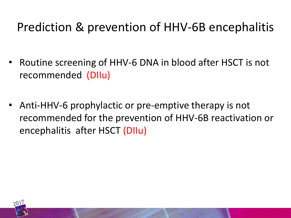#### Prediction & prevention of HHV-6B encephalitis

- Routine screening of HHV-6 DNA in blood after HSCT is not recommended (DIIu)
- Anti-HHV-6 prophylactic or pre-emptive therapy is not recommended for the prevention of HHV-6B reactivation or encephalitis after HSCT (DIIu)

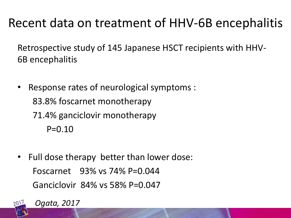#### Recent data on treatment of HHV-6B encephalitis

Retrospective study of 145 Japanese HSCT recipients with HHV-6B encephalitis

- Response rates of neurological symptoms : 83.8% foscarnet monotherapy 71.4% ganciclovir monotherapy  $P=0.10$
- Full dose therapy better than lower dose: Foscarnet 93% vs 74% P=0.044 Ganciclovir 84% vs 58% P=0.047



*Ogata, 2017*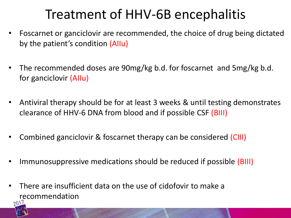### Treatment of HHV-6B encephalitis

- Foscarnet or ganciclovir are recommended, the choice of drug being dictated by the patient's condition (AIIu)
- The recommended doses are 90mg/kg b.d. for foscarnet and 5mg/kg b.d. for ganciclovir (AIIu)
- Antiviral therapy should be for at least 3 weeks & until testing demonstrates clearance of HHV-6 DNA from blood and if possible CSF (BIII)
- Combined ganciclovir & foscarnet therapy can be considered (CIII)
- Immunosuppressive medications should be reduced if possible (BIII)
- There are insufficient data on the use of cidofovir to make a recommendation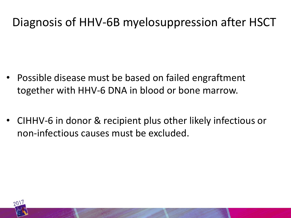#### Diagnosis of HHV-6B myelosuppression after HSCT

- Possible disease must be based on failed engraftment together with HHV-6 DNA in blood or bone marrow.
- CIHHV-6 in donor & recipient plus other likely infectious or non-infectious causes must be excluded.

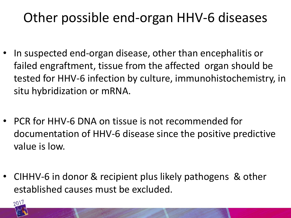### Other possible end-organ HHV-6 diseases

- In suspected end-organ disease, other than encephalitis or failed engraftment, tissue from the affected organ should be tested for HHV-6 infection by culture, immunohistochemistry, in situ hybridization or mRNA.
- PCR for HHV-6 DNA on tissue is not recommended for documentation of HHV-6 disease since the positive predictive value is low.
- CIHHV-6 in donor & recipient plus likely pathogens & other established causes must be excluded.

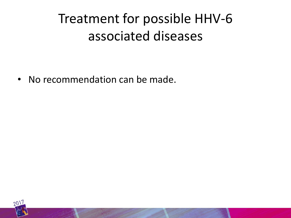## Treatment for possible HHV-6 associated diseases

• No recommendation can be made.

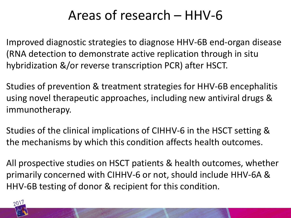#### Areas of research – HHV-6

Improved diagnostic strategies to diagnose HHV-6B end-organ disease (RNA detection to demonstrate active replication through in situ hybridization &/or reverse transcription PCR) after HSCT.

Studies of prevention & treatment strategies for HHV-6B encephalitis using novel therapeutic approaches, including new antiviral drugs & immunotherapy.

Studies of the clinical implications of CIHHV-6 in the HSCT setting & the mechanisms by which this condition affects health outcomes.

All prospective studies on HSCT patients & health outcomes, whether primarily concerned with CIHHV-6 or not, should include HHV-6A & HHV-6B testing of donor & recipient for this condition.